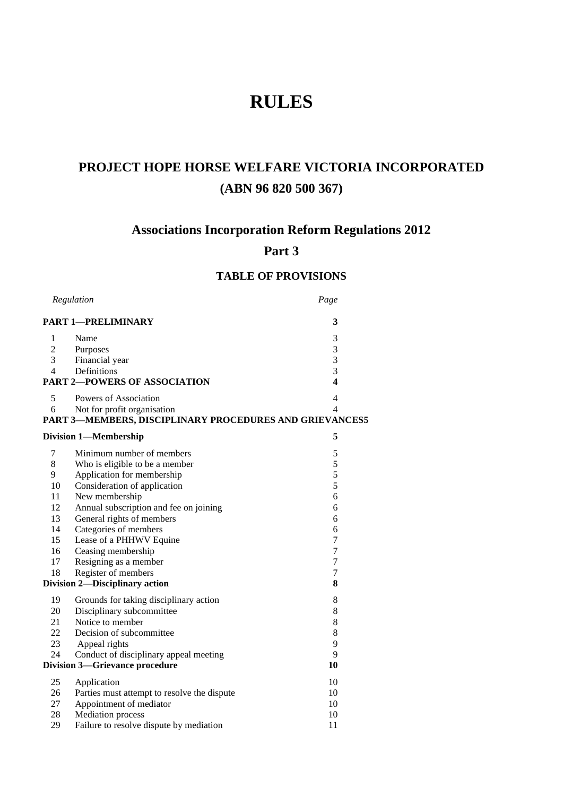# **RULES**

# **PROJECT HOPE HORSE WELFARE VICTORIA INCORPORATED (ABN 96 820 500 367)**

# **Associations Incorporation Reform Regulations 2012**

# **Part 3**

# **TABLE OF PROVISIONS**

|                                            | Regulation                                              | Page           |  |  |  |
|--------------------------------------------|---------------------------------------------------------|----------------|--|--|--|
| <b>PART 1-PRELIMINARY</b>                  | 3                                                       |                |  |  |  |
| 1                                          | Name                                                    | 3              |  |  |  |
| $\mathfrak{2}$                             | <b>Purposes</b>                                         | 3              |  |  |  |
| 3                                          | Financial year                                          | $\overline{3}$ |  |  |  |
| $\overline{4}$                             | Definitions                                             | 3              |  |  |  |
|                                            | <b>PART 2-POWERS OF ASSOCIATION</b>                     | 4              |  |  |  |
| 5                                          | Powers of Association                                   | 4              |  |  |  |
| 6                                          | Not for profit organisation                             | 4              |  |  |  |
|                                            | PART 3-MEMBERS, DISCIPLINARY PROCEDURES AND GRIEVANCES5 |                |  |  |  |
|                                            | <b>Division 1-Membership</b>                            | 5              |  |  |  |
| 7                                          | Minimum number of members                               | 5              |  |  |  |
| 8                                          | Who is eligible to be a member                          | 5              |  |  |  |
| 9                                          | Application for membership                              | 5              |  |  |  |
| 10                                         | Consideration of application                            | 5              |  |  |  |
| 11                                         | New membership                                          | 6              |  |  |  |
| 12                                         | Annual subscription and fee on joining                  | 6              |  |  |  |
| 13                                         | General rights of members                               | 6              |  |  |  |
| 14                                         | Categories of members                                   | 6              |  |  |  |
| 15                                         | Lease of a PHHWV Equine                                 | 7              |  |  |  |
| 16                                         | Ceasing membership                                      | 7              |  |  |  |
| 17                                         | Resigning as a member                                   | $\tau$         |  |  |  |
| 18                                         | Register of members                                     | $\tau$         |  |  |  |
| <b>Division 2-Disciplinary action</b><br>8 |                                                         |                |  |  |  |
| 19                                         | Grounds for taking disciplinary action                  | 8              |  |  |  |
| 20                                         | Disciplinary subcommittee                               | 8              |  |  |  |
| 21                                         | Notice to member                                        | 8              |  |  |  |
| 22                                         | Decision of subcommittee                                | 8              |  |  |  |
| 23                                         | Appeal rights                                           | 9              |  |  |  |
| 24                                         | Conduct of disciplinary appeal meeting                  | 9              |  |  |  |
|                                            | <b>Division 3-Grievance procedure</b>                   | 10             |  |  |  |
| 25                                         | Application                                             | 10             |  |  |  |
| 26                                         | Parties must attempt to resolve the dispute             | 10             |  |  |  |
| 27                                         | Appointment of mediator                                 | 10             |  |  |  |
| 28                                         | <b>Mediation</b> process                                | 10             |  |  |  |
| 29                                         | Failure to resolve dispute by mediation                 | 11             |  |  |  |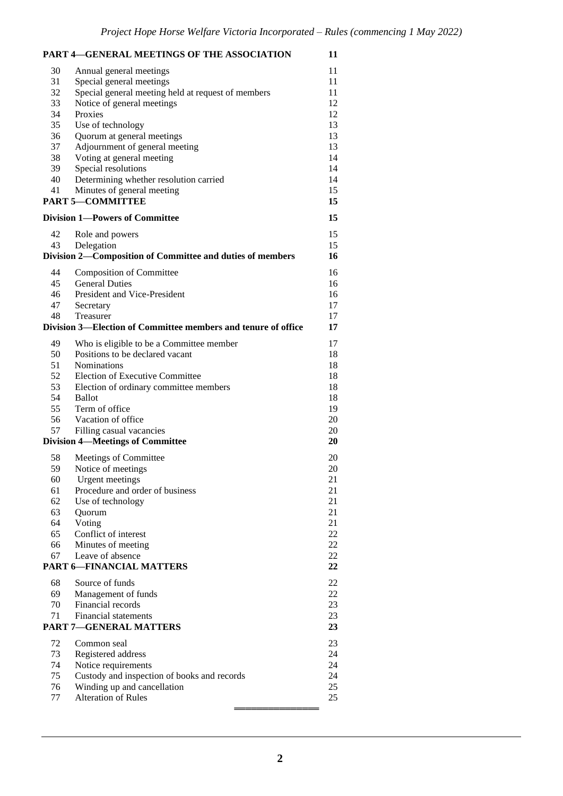|                                         | PART 4-GENERAL MEETINGS OF THE ASSOCIATION                    | 11     |  |
|-----------------------------------------|---------------------------------------------------------------|--------|--|
| 30                                      | Annual general meetings                                       | 11     |  |
| 31                                      | Special general meetings                                      | 11     |  |
| 32                                      | Special general meeting held at request of members            | 11     |  |
| 33                                      | Notice of general meetings                                    | 12     |  |
| 34                                      | Proxies                                                       | 12     |  |
| 35                                      | Use of technology                                             | 13     |  |
| 36                                      | Quorum at general meetings                                    | 13     |  |
| 37                                      | Adjournment of general meeting                                | 13     |  |
| 38                                      | Voting at general meeting                                     | 14     |  |
| 39                                      | Special resolutions                                           | 14     |  |
| 40                                      | Determining whether resolution carried                        | 14     |  |
| 41                                      | Minutes of general meeting                                    | 15     |  |
|                                         | <b>PART 5-COMMITTEE</b>                                       | 15     |  |
| <b>Division 1-Powers of Committee</b>   |                                                               | 15     |  |
|                                         |                                                               |        |  |
| 42                                      | Role and powers                                               | 15     |  |
| 43                                      | Delegation                                                    | 15     |  |
|                                         | Division 2-Composition of Committee and duties of members     | 16     |  |
| 44                                      | <b>Composition of Committee</b>                               | 16     |  |
| 45                                      | <b>General Duties</b>                                         | 16     |  |
| 46                                      | President and Vice-President                                  | 16     |  |
| 47                                      | Secretary                                                     | 17     |  |
| 48                                      | Treasurer                                                     | 17     |  |
|                                         | Division 3—Election of Committee members and tenure of office | 17     |  |
| 49                                      | Who is eligible to be a Committee member                      | 17     |  |
| 50                                      | Positions to be declared vacant                               | 18     |  |
| 51                                      | Nominations                                                   | 18     |  |
| 52                                      | Election of Executive Committee                               | 18     |  |
| 53                                      | Election of ordinary committee members                        | 18     |  |
| 54                                      | <b>Ballot</b>                                                 | 18     |  |
| 55                                      | Term of office                                                | 19     |  |
| 56                                      | Vacation of office                                            | 20     |  |
| 57                                      | Filling casual vacancies                                      | 20     |  |
| <b>Division 4-Meetings of Committee</b> |                                                               | 20     |  |
| 58                                      | Meetings of Committee                                         | 20     |  |
| 59                                      | Notice of meetings                                            | 20     |  |
| 60                                      | <b>Urgent</b> meetings                                        | 21     |  |
| 61                                      | Procedure and order of business                               | 21     |  |
| 62                                      | Use of technology                                             | 21     |  |
| 63                                      | Quorum                                                        | 21     |  |
| 64                                      | Voting                                                        | 21     |  |
| 65                                      | Conflict of interest                                          | 22     |  |
| 66                                      | Minutes of meeting                                            | $22\,$ |  |
| 67                                      | Leave of absence                                              | $22\,$ |  |
|                                         | <b>PART 6-FINANCIAL MATTERS</b>                               | 22     |  |
| 68                                      | Source of funds                                               | $22\,$ |  |
| 69                                      | Management of funds                                           | 22     |  |
| 70                                      | Financial records                                             | 23     |  |
| 71                                      | Financial statements                                          | $23\,$ |  |
|                                         | <b>PART 7-GENERAL MATTERS</b>                                 | 23     |  |
| 72                                      | Common seal                                                   | 23     |  |
| 73                                      | Registered address                                            | 24     |  |
| 74                                      | Notice requirements                                           | 24     |  |
| 75                                      | Custody and inspection of books and records                   | 24     |  |
| 76                                      | Winding up and cancellation                                   | 25     |  |
| 77                                      | <b>Alteration of Rules</b>                                    | 25     |  |
|                                         |                                                               |        |  |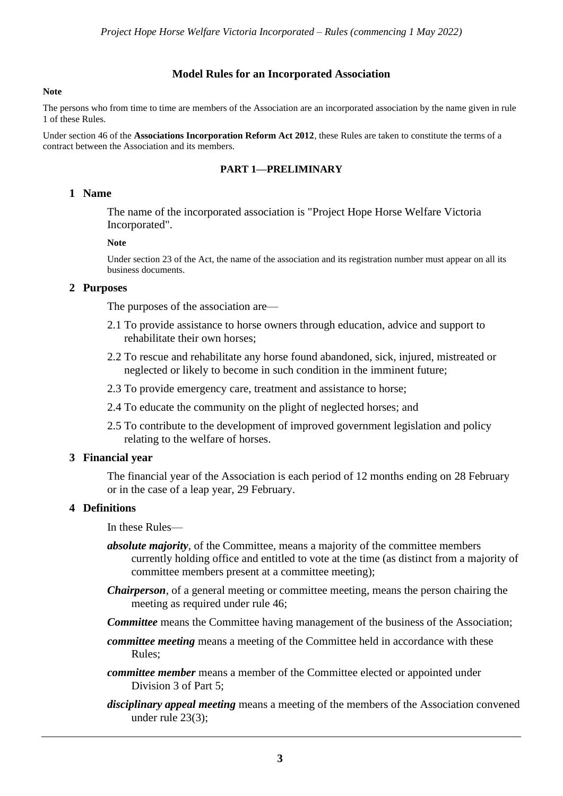#### **Model Rules for an Incorporated Association**

#### **Note**

The persons who from time to time are members of the Association are an incorporated association by the name given in rule 1 of these Rules.

Under section 46 of the **Associations Incorporation Reform Act 2012**, these Rules are taken to constitute the terms of a contract between the Association and its members.

#### **PART 1—PRELIMINARY**

#### **1 Name**

The name of the incorporated association is "Project Hope Horse Welfare Victoria Incorporated".

#### **Note**

Under section 23 of the Act, the name of the association and its registration number must appear on all its business documents.

#### **2 Purposes**

The purposes of the association are—

- 2.1 To provide assistance to horse owners through education, advice and support to rehabilitate their own horses;
- 2.2 To rescue and rehabilitate any horse found abandoned, sick, injured, mistreated or neglected or likely to become in such condition in the imminent future;
- 2.3 To provide emergency care, treatment and assistance to horse;
- 2.4 To educate the community on the plight of neglected horses; and
- 2.5 To contribute to the development of improved government legislation and policy relating to the welfare of horses.

#### **3 Financial year**

The financial year of the Association is each period of 12 months ending on 28 February or in the case of a leap year, 29 February.

#### **4 Definitions**

In these Rules—

- *absolute majority*, of the Committee, means a majority of the committee members currently holding office and entitled to vote at the time (as distinct from a majority of committee members present at a committee meeting);
- *Chairperson*, of a general meeting or committee meeting, means the person chairing the meeting as required under rule 46;
- *Committee* means the Committee having management of the business of the Association;
- *committee meeting* means a meeting of the Committee held in accordance with these Rules;
- *committee member* means a member of the Committee elected or appointed under Division 3 of Part 5;
- *disciplinary appeal meeting* means a meeting of the members of the Association convened under rule 23(3);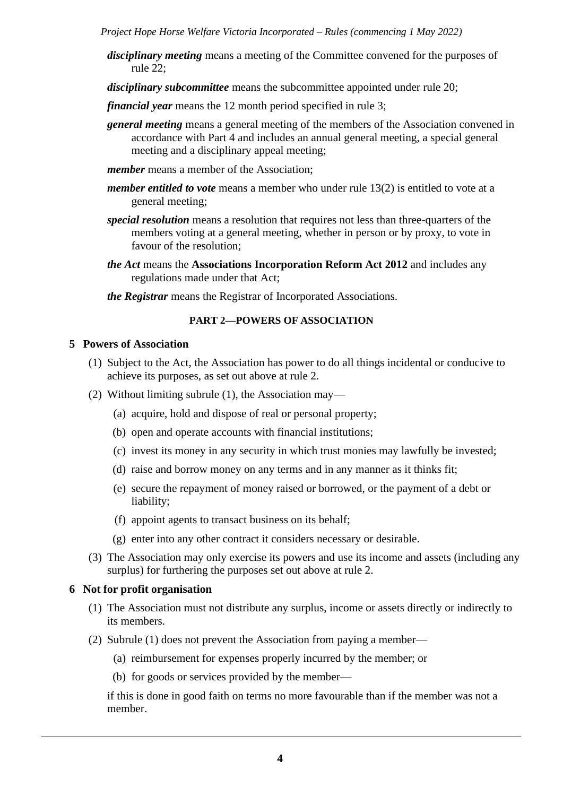- *disciplinary meeting* means a meeting of the Committee convened for the purposes of rule 22;
- *disciplinary subcommittee* means the subcommittee appointed under rule 20;
- *financial year* means the 12 month period specified in rule 3;
- *general meeting* means a general meeting of the members of the Association convened in accordance with Part 4 and includes an annual general meeting, a special general meeting and a disciplinary appeal meeting;
- *member* means a member of the Association;
- *member entitled to vote* means a member who under rule 13(2) is entitled to vote at a general meeting;
- *special resolution* means a resolution that requires not less than three-quarters of the members voting at a general meeting, whether in person or by proxy, to vote in favour of the resolution;
- *the Act* means the **Associations Incorporation Reform Act 2012** and includes any regulations made under that Act;

*the Registrar* means the Registrar of Incorporated Associations.

## **PART 2—POWERS OF ASSOCIATION**

#### **5 Powers of Association**

- (1) Subject to the Act, the Association has power to do all things incidental or conducive to achieve its purposes, as set out above at rule 2.
- (2) Without limiting subrule (1), the Association may—
	- (a) acquire, hold and dispose of real or personal property;
	- (b) open and operate accounts with financial institutions;
	- (c) invest its money in any security in which trust monies may lawfully be invested;
	- (d) raise and borrow money on any terms and in any manner as it thinks fit;
	- (e) secure the repayment of money raised or borrowed, or the payment of a debt or liability;
	- (f) appoint agents to transact business on its behalf;
	- (g) enter into any other contract it considers necessary or desirable.
- (3) The Association may only exercise its powers and use its income and assets (including any surplus) for furthering the purposes set out above at rule 2.

# **6 Not for profit organisation**

- (1) The Association must not distribute any surplus, income or assets directly or indirectly to its members.
- (2) Subrule (1) does not prevent the Association from paying a member—
	- (a) reimbursement for expenses properly incurred by the member; or
	- (b) for goods or services provided by the member—

if this is done in good faith on terms no more favourable than if the member was not a member.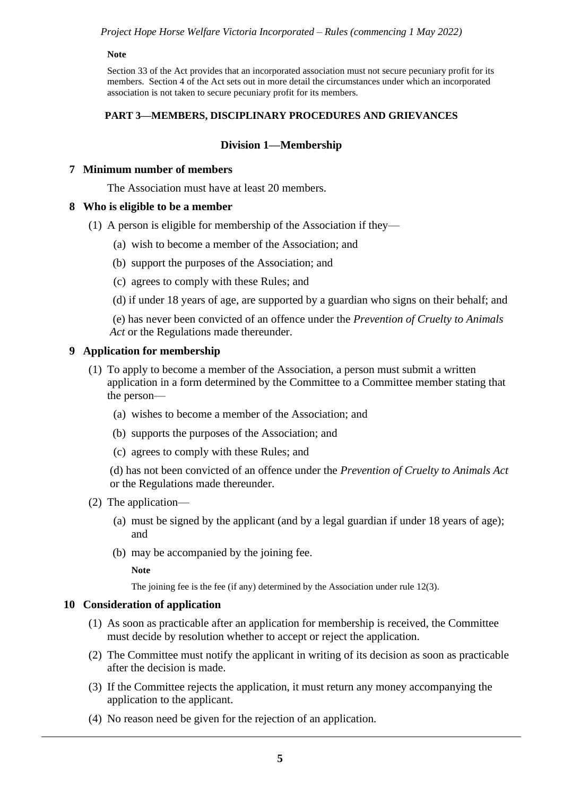#### **Note**

Section 33 of the Act provides that an incorporated association must not secure pecuniary profit for its members. Section 4 of the Act sets out in more detail the circumstances under which an incorporated association is not taken to secure pecuniary profit for its members.

#### **PART 3—MEMBERS, DISCIPLINARY PROCEDURES AND GRIEVANCES**

## **Division 1—Membership**

#### **7 Minimum number of members**

The Association must have at least 20 members.

#### **8 Who is eligible to be a member**

- (1) A person is eligible for membership of the Association if they—
	- (a) wish to become a member of the Association; and
	- (b) support the purposes of the Association; and
	- (c) agrees to comply with these Rules; and
	- (d) if under 18 years of age, are supported by a guardian who signs on their behalf; and

(e) has never been convicted of an offence under the *Prevention of Cruelty to Animals Act* or the Regulations made thereunder.

#### **9 Application for membership**

- (1) To apply to become a member of the Association, a person must submit a written application in a form determined by the Committee to a Committee member stating that the person—
	- (a) wishes to become a member of the Association; and
	- (b) supports the purposes of the Association; and
	- (c) agrees to comply with these Rules; and

(d) has not been convicted of an offence under the *Prevention of Cruelty to Animals Act* or the Regulations made thereunder.

- (2) The application—
	- (a) must be signed by the applicant (and by a legal guardian if under 18 years of age); and
	- (b) may be accompanied by the joining fee.

**Note**

The joining fee is the fee (if any) determined by the Association under rule 12(3).

#### **10 Consideration of application**

- (1) As soon as practicable after an application for membership is received, the Committee must decide by resolution whether to accept or reject the application.
- (2) The Committee must notify the applicant in writing of its decision as soon as practicable after the decision is made.
- (3) If the Committee rejects the application, it must return any money accompanying the application to the applicant.
- (4) No reason need be given for the rejection of an application.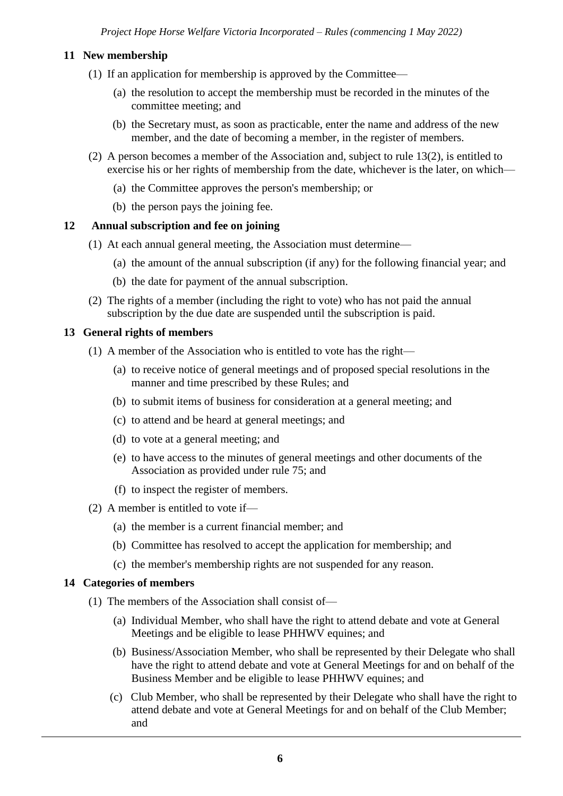# **11 New membership**

- (1) If an application for membership is approved by the Committee—
	- (a) the resolution to accept the membership must be recorded in the minutes of the committee meeting; and
	- (b) the Secretary must, as soon as practicable, enter the name and address of the new member, and the date of becoming a member, in the register of members.
- (2) A person becomes a member of the Association and, subject to rule 13(2), is entitled to exercise his or her rights of membership from the date, whichever is the later, on which—
	- (a) the Committee approves the person's membership; or
	- (b) the person pays the joining fee.

#### **12 Annual subscription and fee on joining**

- (1) At each annual general meeting, the Association must determine—
	- (a) the amount of the annual subscription (if any) for the following financial year; and
	- (b) the date for payment of the annual subscription.
- (2) The rights of a member (including the right to vote) who has not paid the annual subscription by the due date are suspended until the subscription is paid.

#### **13 General rights of members**

- (1) A member of the Association who is entitled to vote has the right—
	- (a) to receive notice of general meetings and of proposed special resolutions in the manner and time prescribed by these Rules; and
	- (b) to submit items of business for consideration at a general meeting; and
	- (c) to attend and be heard at general meetings; and
	- (d) to vote at a general meeting; and
	- (e) to have access to the minutes of general meetings and other documents of the Association as provided under rule 75; and
	- (f) to inspect the register of members.
- (2) A member is entitled to vote if—
	- (a) the member is a current financial member; and
	- (b) Committee has resolved to accept the application for membership; and
	- (c) the member's membership rights are not suspended for any reason.

#### **14 Categories of members**

- (1) The members of the Association shall consist of—
	- (a) Individual Member, who shall have the right to attend debate and vote at General Meetings and be eligible to lease PHHWV equines; and
	- (b) Business/Association Member, who shall be represented by their Delegate who shall have the right to attend debate and vote at General Meetings for and on behalf of the Business Member and be eligible to lease PHHWV equines; and
	- (c) Club Member, who shall be represented by their Delegate who shall have the right to attend debate and vote at General Meetings for and on behalf of the Club Member; and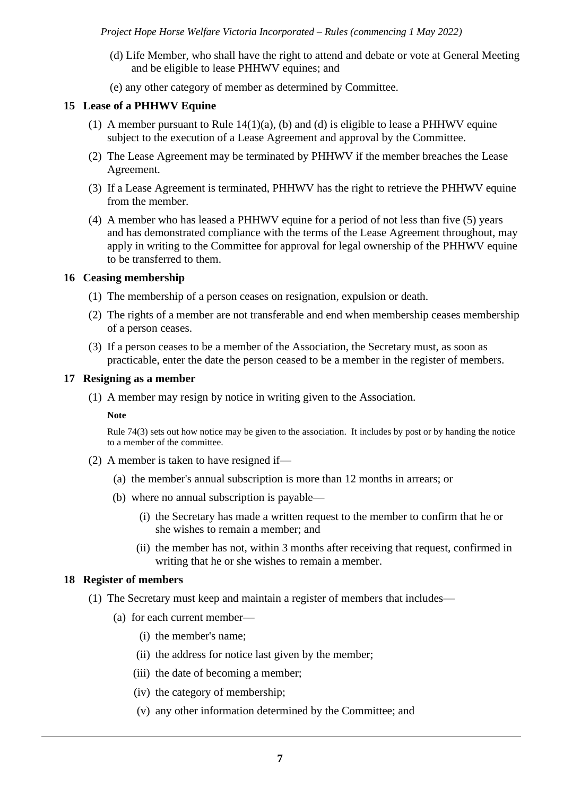- (d) Life Member, who shall have the right to attend and debate or vote at General Meeting and be eligible to lease PHHWV equines; and
- (e) any other category of member as determined by Committee.

# **15 Lease of a PHHWV Equine**

- (1) A member pursuant to Rule  $14(1)(a)$ , (b) and (d) is eligible to lease a PHHWV equine subject to the execution of a Lease Agreement and approval by the Committee.
- (2) The Lease Agreement may be terminated by PHHWV if the member breaches the Lease Agreement.
- (3) If a Lease Agreement is terminated, PHHWV has the right to retrieve the PHHWV equine from the member.
- (4) A member who has leased a PHHWV equine for a period of not less than five (5) years and has demonstrated compliance with the terms of the Lease Agreement throughout, may apply in writing to the Committee for approval for legal ownership of the PHHWV equine to be transferred to them.

#### **16 Ceasing membership**

- (1) The membership of a person ceases on resignation, expulsion or death.
- (2) The rights of a member are not transferable and end when membership ceases membership of a person ceases.
- (3) If a person ceases to be a member of the Association, the Secretary must, as soon as practicable, enter the date the person ceased to be a member in the register of members.

#### **17 Resigning as a member**

(1) A member may resign by notice in writing given to the Association.

#### **Note**

Rule 74(3) sets out how notice may be given to the association. It includes by post or by handing the notice to a member of the committee.

- (2) A member is taken to have resigned if—
	- (a) the member's annual subscription is more than 12 months in arrears; or
	- (b) where no annual subscription is payable—
		- (i) the Secretary has made a written request to the member to confirm that he or she wishes to remain a member; and
		- (ii) the member has not, within 3 months after receiving that request, confirmed in writing that he or she wishes to remain a member.

#### **18 Register of members**

- (1) The Secretary must keep and maintain a register of members that includes—
	- (a) for each current member—
		- (i) the member's name;
		- (ii) the address for notice last given by the member;
		- (iii) the date of becoming a member;
		- (iv) the category of membership;
		- (v) any other information determined by the Committee; and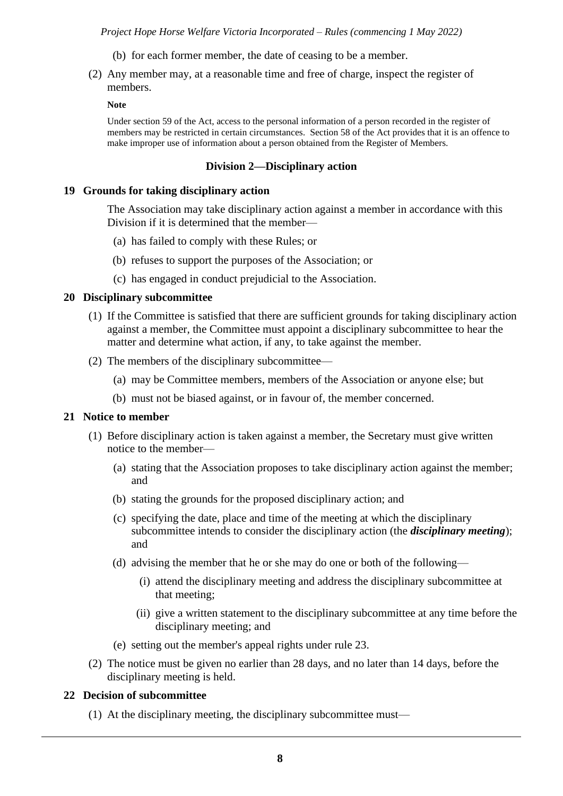- (b) for each former member, the date of ceasing to be a member.
- (2) Any member may, at a reasonable time and free of charge, inspect the register of members.

#### **Note**

Under section 59 of the Act, access to the personal information of a person recorded in the register of members may be restricted in certain circumstances. Section 58 of the Act provides that it is an offence to make improper use of information about a person obtained from the Register of Members.

#### **Division 2—Disciplinary action**

## **19 Grounds for taking disciplinary action**

The Association may take disciplinary action against a member in accordance with this Division if it is determined that the member—

- (a) has failed to comply with these Rules; or
- (b) refuses to support the purposes of the Association; or
- (c) has engaged in conduct prejudicial to the Association.

## **20 Disciplinary subcommittee**

- (1) If the Committee is satisfied that there are sufficient grounds for taking disciplinary action against a member, the Committee must appoint a disciplinary subcommittee to hear the matter and determine what action, if any, to take against the member.
- (2) The members of the disciplinary subcommittee—
	- (a) may be Committee members, members of the Association or anyone else; but
	- (b) must not be biased against, or in favour of, the member concerned.

#### **21 Notice to member**

- (1) Before disciplinary action is taken against a member, the Secretary must give written notice to the member—
	- (a) stating that the Association proposes to take disciplinary action against the member; and
	- (b) stating the grounds for the proposed disciplinary action; and
	- (c) specifying the date, place and time of the meeting at which the disciplinary subcommittee intends to consider the disciplinary action (the *disciplinary meeting*); and
	- (d) advising the member that he or she may do one or both of the following—
		- (i) attend the disciplinary meeting and address the disciplinary subcommittee at that meeting;
		- (ii) give a written statement to the disciplinary subcommittee at any time before the disciplinary meeting; and
	- (e) setting out the member's appeal rights under rule 23.
- (2) The notice must be given no earlier than 28 days, and no later than 14 days, before the disciplinary meeting is held.

# **22 Decision of subcommittee**

(1) At the disciplinary meeting, the disciplinary subcommittee must—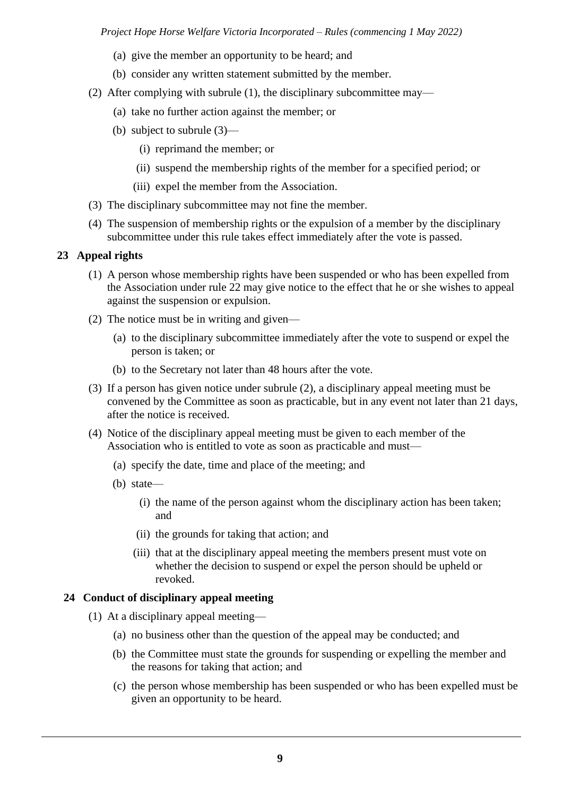- (a) give the member an opportunity to be heard; and
- (b) consider any written statement submitted by the member.
- (2) After complying with subrule (1), the disciplinary subcommittee may—
	- (a) take no further action against the member; or
	- (b) subject to subrule (3)—
		- (i) reprimand the member; or
		- (ii) suspend the membership rights of the member for a specified period; or
		- (iii) expel the member from the Association.
- (3) The disciplinary subcommittee may not fine the member.
- (4) The suspension of membership rights or the expulsion of a member by the disciplinary subcommittee under this rule takes effect immediately after the vote is passed.

## **23 Appeal rights**

- (1) A person whose membership rights have been suspended or who has been expelled from the Association under rule 22 may give notice to the effect that he or she wishes to appeal against the suspension or expulsion.
- (2) The notice must be in writing and given—
	- (a) to the disciplinary subcommittee immediately after the vote to suspend or expel the person is taken; or
	- (b) to the Secretary not later than 48 hours after the vote.
- (3) If a person has given notice under subrule (2), a disciplinary appeal meeting must be convened by the Committee as soon as practicable, but in any event not later than 21 days, after the notice is received.
- (4) Notice of the disciplinary appeal meeting must be given to each member of the Association who is entitled to vote as soon as practicable and must—
	- (a) specify the date, time and place of the meeting; and
	- (b) state—
		- (i) the name of the person against whom the disciplinary action has been taken; and
		- (ii) the grounds for taking that action; and
		- (iii) that at the disciplinary appeal meeting the members present must vote on whether the decision to suspend or expel the person should be upheld or revoked.

# **24 Conduct of disciplinary appeal meeting**

- (1) At a disciplinary appeal meeting—
	- (a) no business other than the question of the appeal may be conducted; and
	- (b) the Committee must state the grounds for suspending or expelling the member and the reasons for taking that action; and
	- (c) the person whose membership has been suspended or who has been expelled must be given an opportunity to be heard.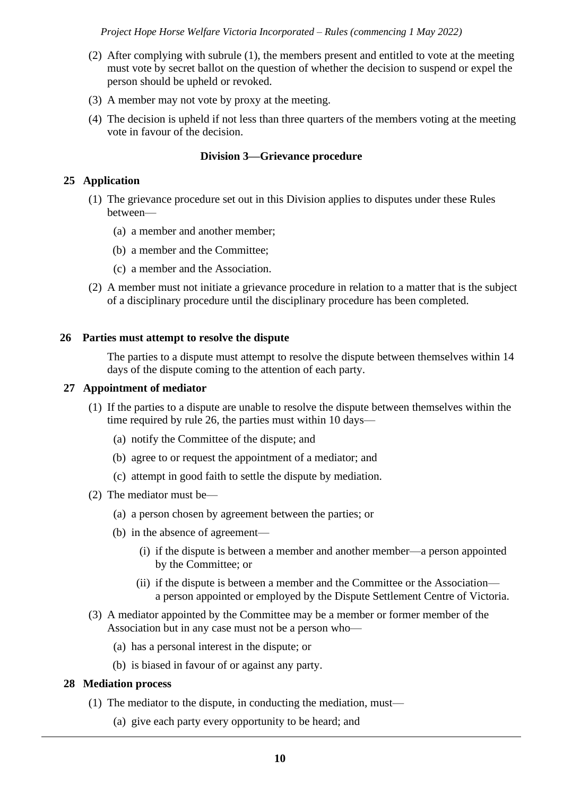- (2) After complying with subrule (1), the members present and entitled to vote at the meeting must vote by secret ballot on the question of whether the decision to suspend or expel the person should be upheld or revoked.
- (3) A member may not vote by proxy at the meeting.
- (4) The decision is upheld if not less than three quarters of the members voting at the meeting vote in favour of the decision.

#### **Division 3—Grievance procedure**

## **25 Application**

- (1) The grievance procedure set out in this Division applies to disputes under these Rules between—
	- (a) a member and another member;
	- (b) a member and the Committee;
	- (c) a member and the Association.
- (2) A member must not initiate a grievance procedure in relation to a matter that is the subject of a disciplinary procedure until the disciplinary procedure has been completed.

#### **26 Parties must attempt to resolve the dispute**

The parties to a dispute must attempt to resolve the dispute between themselves within 14 days of the dispute coming to the attention of each party.

#### **27 Appointment of mediator**

- (1) If the parties to a dispute are unable to resolve the dispute between themselves within the time required by rule 26, the parties must within 10 days—
	- (a) notify the Committee of the dispute; and
	- (b) agree to or request the appointment of a mediator; and
	- (c) attempt in good faith to settle the dispute by mediation.
- (2) The mediator must be—
	- (a) a person chosen by agreement between the parties; or
	- (b) in the absence of agreement—
		- (i) if the dispute is between a member and another member—a person appointed by the Committee; or
		- (ii) if the dispute is between a member and the Committee or the Association a person appointed or employed by the Dispute Settlement Centre of Victoria.
- (3) A mediator appointed by the Committee may be a member or former member of the Association but in any case must not be a person who—
	- (a) has a personal interest in the dispute; or
	- (b) is biased in favour of or against any party.

#### **28 Mediation process**

- (1) The mediator to the dispute, in conducting the mediation, must—
	- (a) give each party every opportunity to be heard; and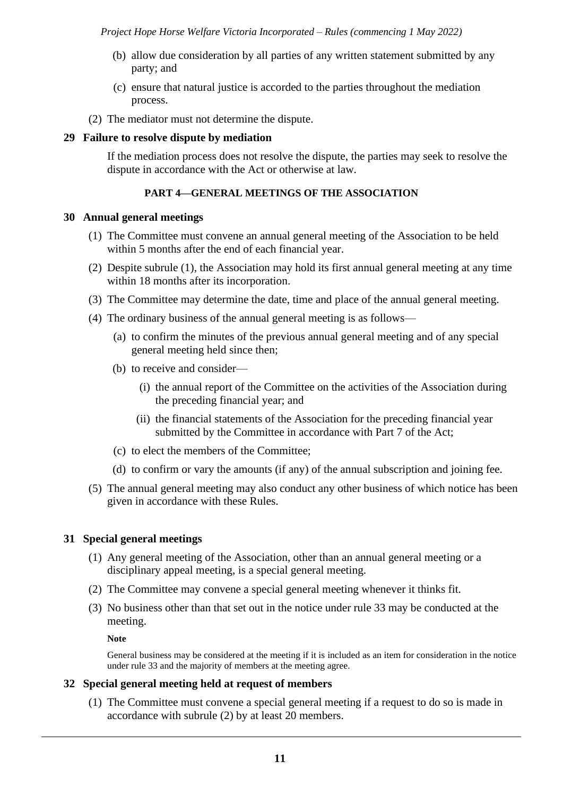- (b) allow due consideration by all parties of any written statement submitted by any party; and
- (c) ensure that natural justice is accorded to the parties throughout the mediation process.
- (2) The mediator must not determine the dispute.

## **29 Failure to resolve dispute by mediation**

If the mediation process does not resolve the dispute, the parties may seek to resolve the dispute in accordance with the Act or otherwise at law.

# **PART 4—GENERAL MEETINGS OF THE ASSOCIATION**

#### **30 Annual general meetings**

- (1) The Committee must convene an annual general meeting of the Association to be held within 5 months after the end of each financial year.
- (2) Despite subrule (1), the Association may hold its first annual general meeting at any time within 18 months after its incorporation.
- (3) The Committee may determine the date, time and place of the annual general meeting.
- (4) The ordinary business of the annual general meeting is as follows—
	- (a) to confirm the minutes of the previous annual general meeting and of any special general meeting held since then;
	- (b) to receive and consider—
		- (i) the annual report of the Committee on the activities of the Association during the preceding financial year; and
		- (ii) the financial statements of the Association for the preceding financial year submitted by the Committee in accordance with Part 7 of the Act;
	- (c) to elect the members of the Committee;
	- (d) to confirm or vary the amounts (if any) of the annual subscription and joining fee.
- (5) The annual general meeting may also conduct any other business of which notice has been given in accordance with these Rules.

#### **31 Special general meetings**

- (1) Any general meeting of the Association, other than an annual general meeting or a disciplinary appeal meeting, is a special general meeting.
- (2) The Committee may convene a special general meeting whenever it thinks fit.
- (3) No business other than that set out in the notice under rule 33 may be conducted at the meeting.

**Note**

General business may be considered at the meeting if it is included as an item for consideration in the notice under rule 33 and the majority of members at the meeting agree.

#### **32 Special general meeting held at request of members**

(1) The Committee must convene a special general meeting if a request to do so is made in accordance with subrule (2) by at least 20 members.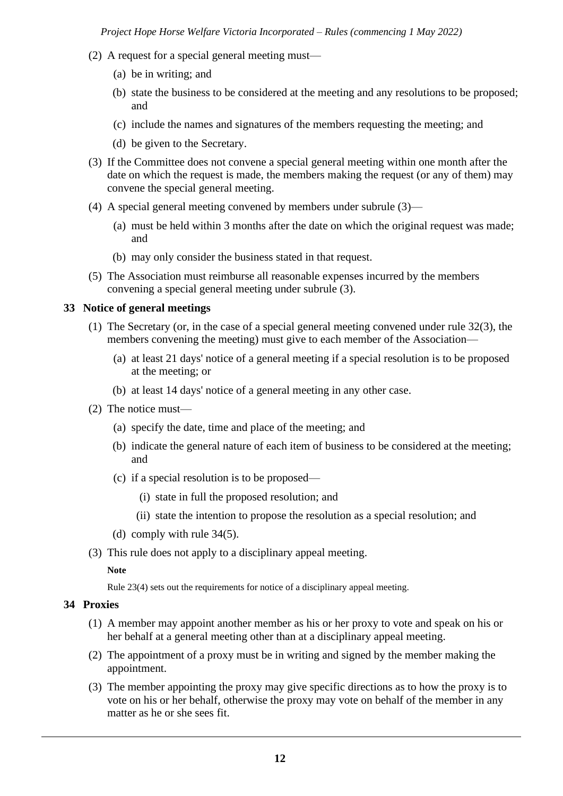- (2) A request for a special general meeting must—
	- (a) be in writing; and
	- (b) state the business to be considered at the meeting and any resolutions to be proposed; and
	- (c) include the names and signatures of the members requesting the meeting; and
	- (d) be given to the Secretary.
- (3) If the Committee does not convene a special general meeting within one month after the date on which the request is made, the members making the request (or any of them) may convene the special general meeting.
- (4) A special general meeting convened by members under subrule (3)—
	- (a) must be held within 3 months after the date on which the original request was made; and
	- (b) may only consider the business stated in that request.
- (5) The Association must reimburse all reasonable expenses incurred by the members convening a special general meeting under subrule (3).

## **33 Notice of general meetings**

- (1) The Secretary (or, in the case of a special general meeting convened under rule 32(3), the members convening the meeting) must give to each member of the Association—
	- (a) at least 21 days' notice of a general meeting if a special resolution is to be proposed at the meeting; or
	- (b) at least 14 days' notice of a general meeting in any other case.
- (2) The notice must—
	- (a) specify the date, time and place of the meeting; and
	- (b) indicate the general nature of each item of business to be considered at the meeting; and
	- (c) if a special resolution is to be proposed—
		- (i) state in full the proposed resolution; and
		- (ii) state the intention to propose the resolution as a special resolution; and
	- (d) comply with rule 34(5).
- (3) This rule does not apply to a disciplinary appeal meeting.

#### **Note**

Rule 23(4) sets out the requirements for notice of a disciplinary appeal meeting.

# **34 Proxies**

- (1) A member may appoint another member as his or her proxy to vote and speak on his or her behalf at a general meeting other than at a disciplinary appeal meeting.
- (2) The appointment of a proxy must be in writing and signed by the member making the appointment.
- (3) The member appointing the proxy may give specific directions as to how the proxy is to vote on his or her behalf, otherwise the proxy may vote on behalf of the member in any matter as he or she sees fit.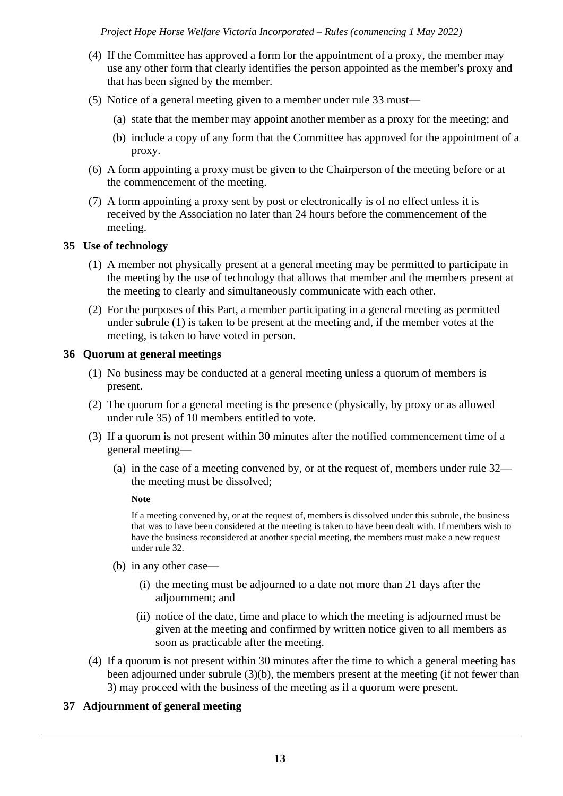- (4) If the Committee has approved a form for the appointment of a proxy, the member may use any other form that clearly identifies the person appointed as the member's proxy and that has been signed by the member.
- (5) Notice of a general meeting given to a member under rule 33 must—
	- (a) state that the member may appoint another member as a proxy for the meeting; and
	- (b) include a copy of any form that the Committee has approved for the appointment of a proxy.
- (6) A form appointing a proxy must be given to the Chairperson of the meeting before or at the commencement of the meeting.
- (7) A form appointing a proxy sent by post or electronically is of no effect unless it is received by the Association no later than 24 hours before the commencement of the meeting.

# **35 Use of technology**

- (1) A member not physically present at a general meeting may be permitted to participate in the meeting by the use of technology that allows that member and the members present at the meeting to clearly and simultaneously communicate with each other.
- (2) For the purposes of this Part, a member participating in a general meeting as permitted under subrule (1) is taken to be present at the meeting and, if the member votes at the meeting, is taken to have voted in person.

# **36 Quorum at general meetings**

- (1) No business may be conducted at a general meeting unless a quorum of members is present.
- (2) The quorum for a general meeting is the presence (physically, by proxy or as allowed under rule 35) of 10 members entitled to vote.
- (3) If a quorum is not present within 30 minutes after the notified commencement time of a general meeting—
	- (a) in the case of a meeting convened by, or at the request of, members under rule 32 the meeting must be dissolved;

# **Note**

If a meeting convened by, or at the request of, members is dissolved under this subrule, the business that was to have been considered at the meeting is taken to have been dealt with. If members wish to have the business reconsidered at another special meeting, the members must make a new request under rule 32.

- (b) in any other case—
	- (i) the meeting must be adjourned to a date not more than 21 days after the adjournment; and
	- (ii) notice of the date, time and place to which the meeting is adjourned must be given at the meeting and confirmed by written notice given to all members as soon as practicable after the meeting.
- (4) If a quorum is not present within 30 minutes after the time to which a general meeting has been adjourned under subrule (3)(b), the members present at the meeting (if not fewer than 3) may proceed with the business of the meeting as if a quorum were present.

# **37 Adjournment of general meeting**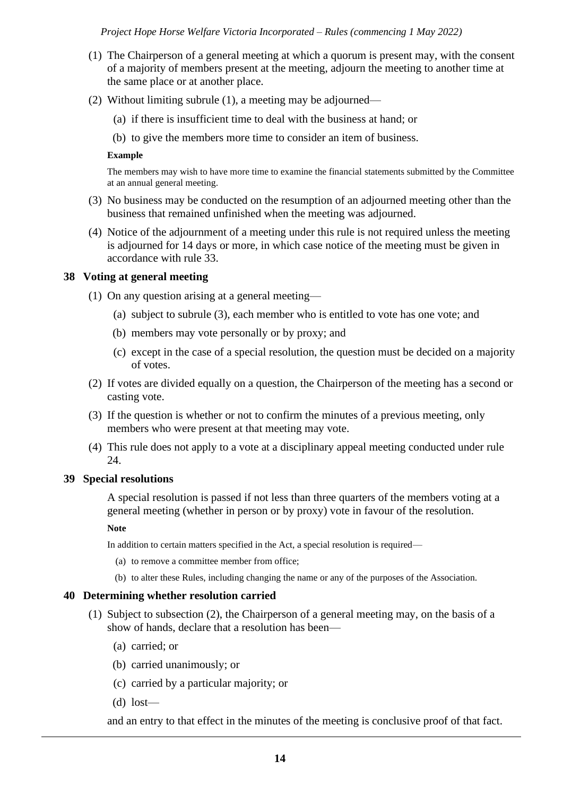- (1) The Chairperson of a general meeting at which a quorum is present may, with the consent of a majority of members present at the meeting, adjourn the meeting to another time at the same place or at another place.
- (2) Without limiting subrule (1), a meeting may be adjourned—
	- (a) if there is insufficient time to deal with the business at hand; or
	- (b) to give the members more time to consider an item of business.

#### **Example**

The members may wish to have more time to examine the financial statements submitted by the Committee at an annual general meeting.

- (3) No business may be conducted on the resumption of an adjourned meeting other than the business that remained unfinished when the meeting was adjourned.
- (4) Notice of the adjournment of a meeting under this rule is not required unless the meeting is adjourned for 14 days or more, in which case notice of the meeting must be given in accordance with rule 33.

# **38 Voting at general meeting**

- (1) On any question arising at a general meeting—
	- (a) subject to subrule (3), each member who is entitled to vote has one vote; and
	- (b) members may vote personally or by proxy; and
	- (c) except in the case of a special resolution, the question must be decided on a majority of votes.
- (2) If votes are divided equally on a question, the Chairperson of the meeting has a second or casting vote.
- (3) If the question is whether or not to confirm the minutes of a previous meeting, only members who were present at that meeting may vote.
- (4) This rule does not apply to a vote at a disciplinary appeal meeting conducted under rule 24.

#### **39 Special resolutions**

A special resolution is passed if not less than three quarters of the members voting at a general meeting (whether in person or by proxy) vote in favour of the resolution.

#### **Note**

In addition to certain matters specified in the Act, a special resolution is required—

- (a) to remove a committee member from office;
- (b) to alter these Rules, including changing the name or any of the purposes of the Association.

#### **40 Determining whether resolution carried**

- (1) Subject to subsection (2), the Chairperson of a general meeting may, on the basis of a show of hands, declare that a resolution has been—
	- (a) carried; or
	- (b) carried unanimously; or
	- (c) carried by a particular majority; or
	- (d) lost—

and an entry to that effect in the minutes of the meeting is conclusive proof of that fact.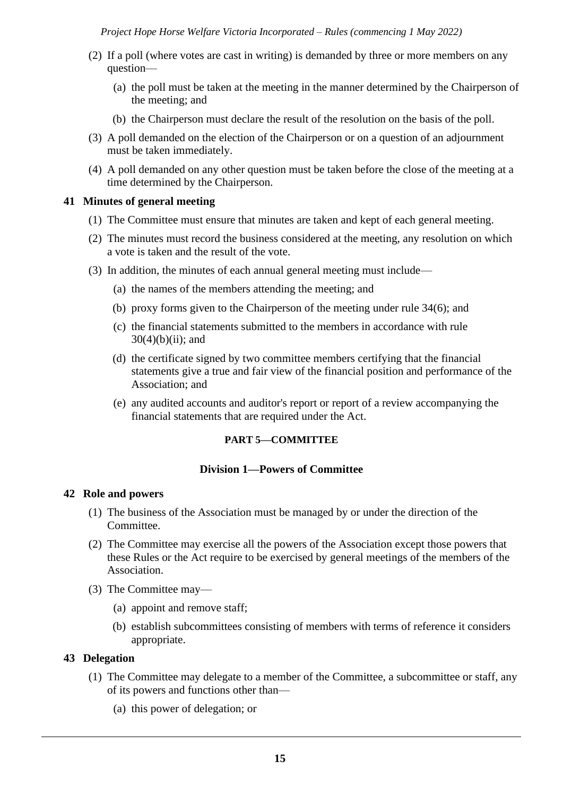- (2) If a poll (where votes are cast in writing) is demanded by three or more members on any question—
	- (a) the poll must be taken at the meeting in the manner determined by the Chairperson of the meeting; and
	- (b) the Chairperson must declare the result of the resolution on the basis of the poll.
- (3) A poll demanded on the election of the Chairperson or on a question of an adjournment must be taken immediately.
- (4) A poll demanded on any other question must be taken before the close of the meeting at a time determined by the Chairperson.

## **41 Minutes of general meeting**

- (1) The Committee must ensure that minutes are taken and kept of each general meeting.
- (2) The minutes must record the business considered at the meeting, any resolution on which a vote is taken and the result of the vote.
- (3) In addition, the minutes of each annual general meeting must include—
	- (a) the names of the members attending the meeting; and
	- (b) proxy forms given to the Chairperson of the meeting under rule 34(6); and
	- (c) the financial statements submitted to the members in accordance with rule  $30(4)(b)(ii)$ ; and
	- (d) the certificate signed by two committee members certifying that the financial statements give a true and fair view of the financial position and performance of the Association; and
	- (e) any audited accounts and auditor's report or report of a review accompanying the financial statements that are required under the Act.

# **PART 5—COMMITTEE**

# **Division 1—Powers of Committee**

#### **42 Role and powers**

- (1) The business of the Association must be managed by or under the direction of the Committee.
- (2) The Committee may exercise all the powers of the Association except those powers that these Rules or the Act require to be exercised by general meetings of the members of the Association.
- (3) The Committee may—
	- (a) appoint and remove staff;
	- (b) establish subcommittees consisting of members with terms of reference it considers appropriate.

# **43 Delegation**

- (1) The Committee may delegate to a member of the Committee, a subcommittee or staff, any of its powers and functions other than—
	- (a) this power of delegation; or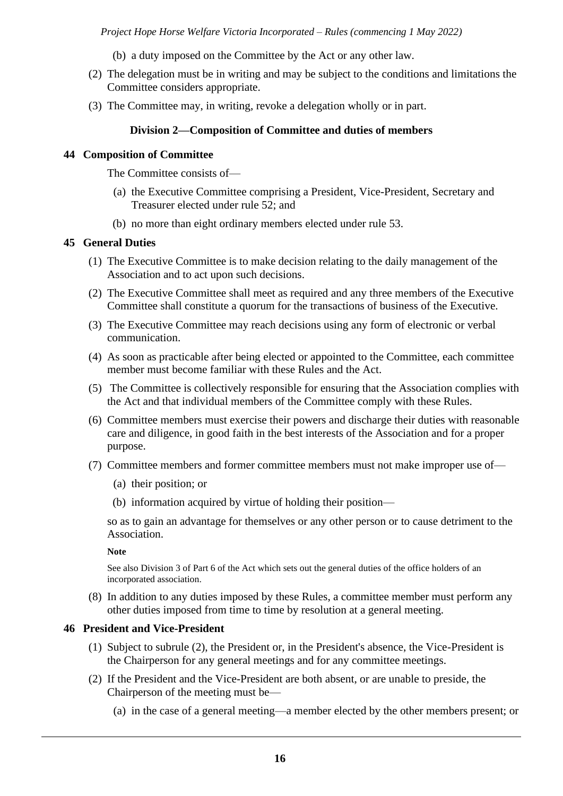- (b) a duty imposed on the Committee by the Act or any other law.
- (2) The delegation must be in writing and may be subject to the conditions and limitations the Committee considers appropriate.
- (3) The Committee may, in writing, revoke a delegation wholly or in part.

# **Division 2—Composition of Committee and duties of members**

## **44 Composition of Committee**

The Committee consists of—

- (a) the Executive Committee comprising a President, Vice-President, Secretary and Treasurer elected under rule 52; and
- (b) no more than eight ordinary members elected under rule 53.

## **45 General Duties**

- (1) The Executive Committee is to make decision relating to the daily management of the Association and to act upon such decisions.
- (2) The Executive Committee shall meet as required and any three members of the Executive Committee shall constitute a quorum for the transactions of business of the Executive.
- (3) The Executive Committee may reach decisions using any form of electronic or verbal communication.
- (4) As soon as practicable after being elected or appointed to the Committee, each committee member must become familiar with these Rules and the Act.
- (5) The Committee is collectively responsible for ensuring that the Association complies with the Act and that individual members of the Committee comply with these Rules.
- (6) Committee members must exercise their powers and discharge their duties with reasonable care and diligence, in good faith in the best interests of the Association and for a proper purpose.
- (7) Committee members and former committee members must not make improper use of—
	- (a) their position; or
	- (b) information acquired by virtue of holding their position—

so as to gain an advantage for themselves or any other person or to cause detriment to the Association.

**Note**

See also Division 3 of Part 6 of the Act which sets out the general duties of the office holders of an incorporated association.

(8) In addition to any duties imposed by these Rules, a committee member must perform any other duties imposed from time to time by resolution at a general meeting.

# **46 President and Vice-President**

- (1) Subject to subrule (2), the President or, in the President's absence, the Vice-President is the Chairperson for any general meetings and for any committee meetings.
- (2) If the President and the Vice-President are both absent, or are unable to preside, the Chairperson of the meeting must be—
	- (a) in the case of a general meeting—a member elected by the other members present; or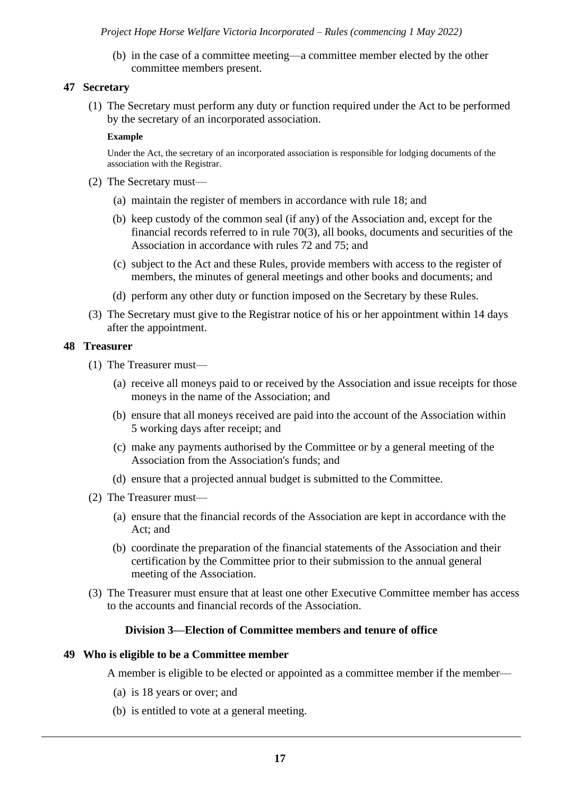(b) in the case of a committee meeting—a committee member elected by the other committee members present.

# **47 Secretary**

(1) The Secretary must perform any duty or function required under the Act to be performed by the secretary of an incorporated association.

#### **Example**

Under the Act, the secretary of an incorporated association is responsible for lodging documents of the association with the Registrar.

- (2) The Secretary must—
	- (a) maintain the register of members in accordance with rule 18; and
	- (b) keep custody of the common seal (if any) of the Association and, except for the financial records referred to in rule 70(3), all books, documents and securities of the Association in accordance with rules 72 and 75; and
	- (c) subject to the Act and these Rules, provide members with access to the register of members, the minutes of general meetings and other books and documents; and
	- (d) perform any other duty or function imposed on the Secretary by these Rules.
- (3) The Secretary must give to the Registrar notice of his or her appointment within 14 days after the appointment.

# **48 Treasurer**

- (1) The Treasurer must—
	- (a) receive all moneys paid to or received by the Association and issue receipts for those moneys in the name of the Association; and
	- (b) ensure that all moneys received are paid into the account of the Association within 5 working days after receipt; and
	- (c) make any payments authorised by the Committee or by a general meeting of the Association from the Association's funds; and
	- (d) ensure that a projected annual budget is submitted to the Committee.
- (2) The Treasurer must—
	- (a) ensure that the financial records of the Association are kept in accordance with the Act; and
	- (b) coordinate the preparation of the financial statements of the Association and their certification by the Committee prior to their submission to the annual general meeting of the Association.
- (3) The Treasurer must ensure that at least one other Executive Committee member has access to the accounts and financial records of the Association.

#### **Division 3—Election of Committee members and tenure of office**

#### **49 Who is eligible to be a Committee member**

A member is eligible to be elected or appointed as a committee member if the member—

- (a) is 18 years or over; and
- (b) is entitled to vote at a general meeting.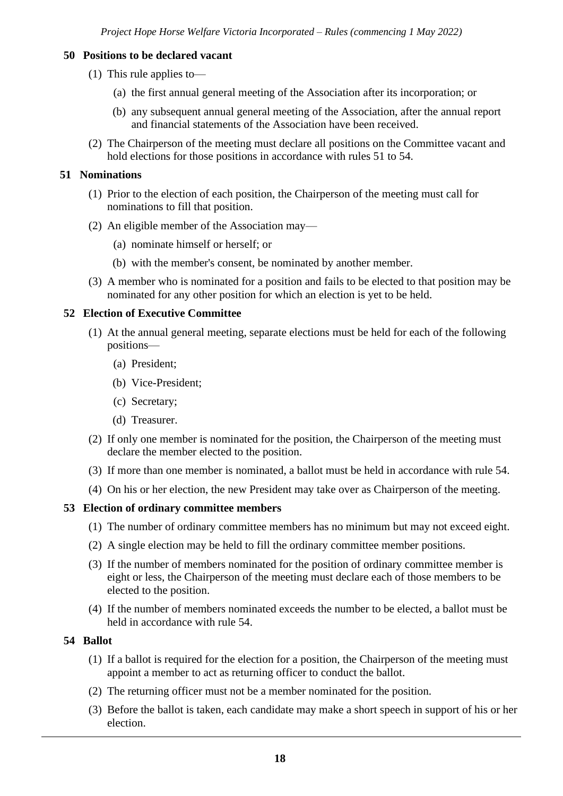# **50 Positions to be declared vacant**

- (1) This rule applies to—
	- (a) the first annual general meeting of the Association after its incorporation; or
	- (b) any subsequent annual general meeting of the Association, after the annual report and financial statements of the Association have been received.
- (2) The Chairperson of the meeting must declare all positions on the Committee vacant and hold elections for those positions in accordance with rules 51 to 54.

# **51 Nominations**

- (1) Prior to the election of each position, the Chairperson of the meeting must call for nominations to fill that position.
- (2) An eligible member of the Association may—
	- (a) nominate himself or herself; or
	- (b) with the member's consent, be nominated by another member.
- (3) A member who is nominated for a position and fails to be elected to that position may be nominated for any other position for which an election is yet to be held.

## **52 Election of Executive Committee**

- (1) At the annual general meeting, separate elections must be held for each of the following positions—
	- (a) President;
	- (b) Vice-President;
	- (c) Secretary;
	- (d) Treasurer.
- (2) If only one member is nominated for the position, the Chairperson of the meeting must declare the member elected to the position.
- (3) If more than one member is nominated, a ballot must be held in accordance with rule 54.
- (4) On his or her election, the new President may take over as Chairperson of the meeting.

# **53 Election of ordinary committee members**

- (1) The number of ordinary committee members has no minimum but may not exceed eight.
- (2) A single election may be held to fill the ordinary committee member positions.
- (3) If the number of members nominated for the position of ordinary committee member is eight or less, the Chairperson of the meeting must declare each of those members to be elected to the position.
- (4) If the number of members nominated exceeds the number to be elected, a ballot must be held in accordance with rule 54.

# **54 Ballot**

- (1) If a ballot is required for the election for a position, the Chairperson of the meeting must appoint a member to act as returning officer to conduct the ballot.
- (2) The returning officer must not be a member nominated for the position.
- (3) Before the ballot is taken, each candidate may make a short speech in support of his or her election.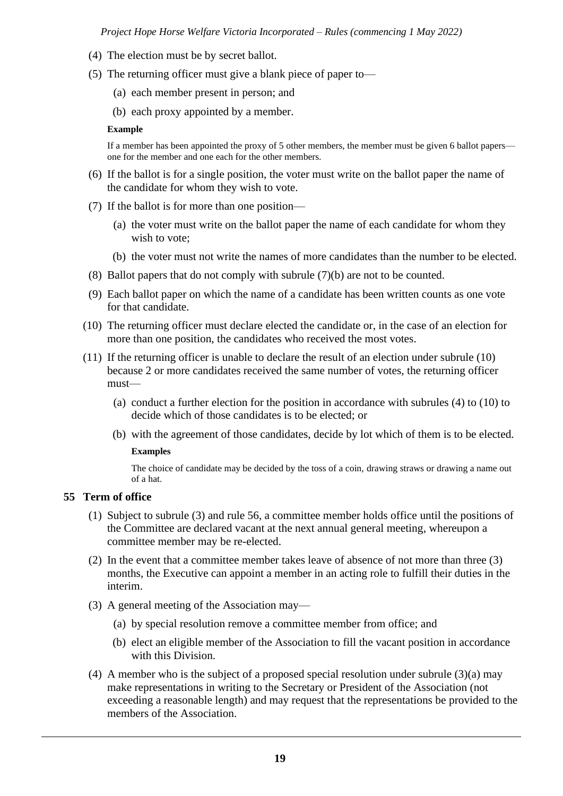- (4) The election must be by secret ballot.
- (5) The returning officer must give a blank piece of paper to—
	- (a) each member present in person; and
	- (b) each proxy appointed by a member.

#### **Example**

If a member has been appointed the proxy of 5 other members, the member must be given 6 ballot papers one for the member and one each for the other members.

- (6) If the ballot is for a single position, the voter must write on the ballot paper the name of the candidate for whom they wish to vote.
- (7) If the ballot is for more than one position—
	- (a) the voter must write on the ballot paper the name of each candidate for whom they wish to vote;
	- (b) the voter must not write the names of more candidates than the number to be elected.
- (8) Ballot papers that do not comply with subrule (7)(b) are not to be counted.
- (9) Each ballot paper on which the name of a candidate has been written counts as one vote for that candidate.
- (10) The returning officer must declare elected the candidate or, in the case of an election for more than one position, the candidates who received the most votes.
- (11) If the returning officer is unable to declare the result of an election under subrule (10) because 2 or more candidates received the same number of votes, the returning officer must—
	- (a) conduct a further election for the position in accordance with subrules (4) to (10) to decide which of those candidates is to be elected; or
	- (b) with the agreement of those candidates, decide by lot which of them is to be elected. **Examples**

The choice of candidate may be decided by the toss of a coin, drawing straws or drawing a name out of a hat.

#### **55 Term of office**

- (1) Subject to subrule (3) and rule 56, a committee member holds office until the positions of the Committee are declared vacant at the next annual general meeting, whereupon a committee member may be re-elected.
- (2) In the event that a committee member takes leave of absence of not more than three (3) months, the Executive can appoint a member in an acting role to fulfill their duties in the interim.
- (3) A general meeting of the Association may—
	- (a) by special resolution remove a committee member from office; and
	- (b) elect an eligible member of the Association to fill the vacant position in accordance with this Division.
- (4) A member who is the subject of a proposed special resolution under subrule (3)(a) may make representations in writing to the Secretary or President of the Association (not exceeding a reasonable length) and may request that the representations be provided to the members of the Association.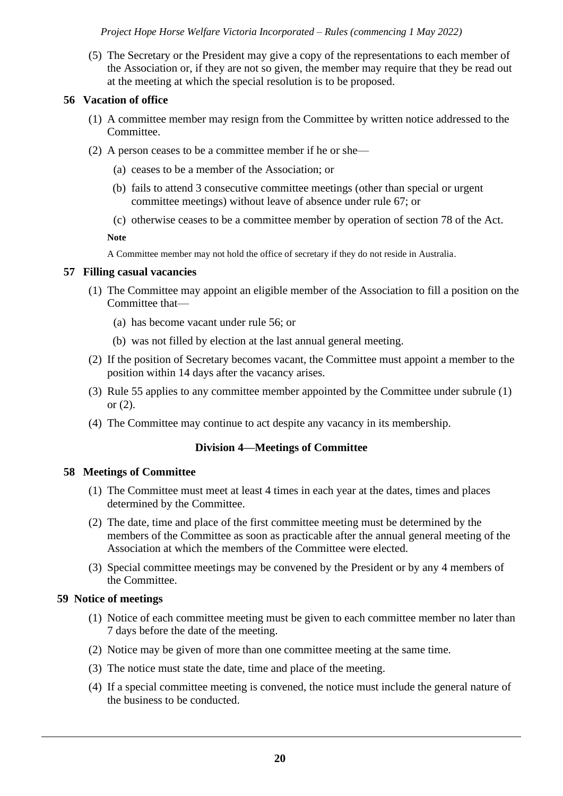(5) The Secretary or the President may give a copy of the representations to each member of the Association or, if they are not so given, the member may require that they be read out at the meeting at which the special resolution is to be proposed.

## **56 Vacation of office**

- (1) A committee member may resign from the Committee by written notice addressed to the Committee.
- (2) A person ceases to be a committee member if he or she—
	- (a) ceases to be a member of the Association; or
	- (b) fails to attend 3 consecutive committee meetings (other than special or urgent committee meetings) without leave of absence under rule 67; or
	- (c) otherwise ceases to be a committee member by operation of section 78 of the Act.

**Note**

A Committee member may not hold the office of secretary if they do not reside in Australia.

#### **57 Filling casual vacancies**

- (1) The Committee may appoint an eligible member of the Association to fill a position on the Committee that—
	- (a) has become vacant under rule 56; or
	- (b) was not filled by election at the last annual general meeting.
- (2) If the position of Secretary becomes vacant, the Committee must appoint a member to the position within 14 days after the vacancy arises.
- (3) Rule 55 applies to any committee member appointed by the Committee under subrule (1) or (2).
- (4) The Committee may continue to act despite any vacancy in its membership.

# **Division 4—Meetings of Committee**

# **58 Meetings of Committee**

- (1) The Committee must meet at least 4 times in each year at the dates, times and places determined by the Committee.
- (2) The date, time and place of the first committee meeting must be determined by the members of the Committee as soon as practicable after the annual general meeting of the Association at which the members of the Committee were elected.
- (3) Special committee meetings may be convened by the President or by any 4 members of the Committee.

# **59 Notice of meetings**

- (1) Notice of each committee meeting must be given to each committee member no later than 7 days before the date of the meeting.
- (2) Notice may be given of more than one committee meeting at the same time.
- (3) The notice must state the date, time and place of the meeting.
- (4) If a special committee meeting is convened, the notice must include the general nature of the business to be conducted.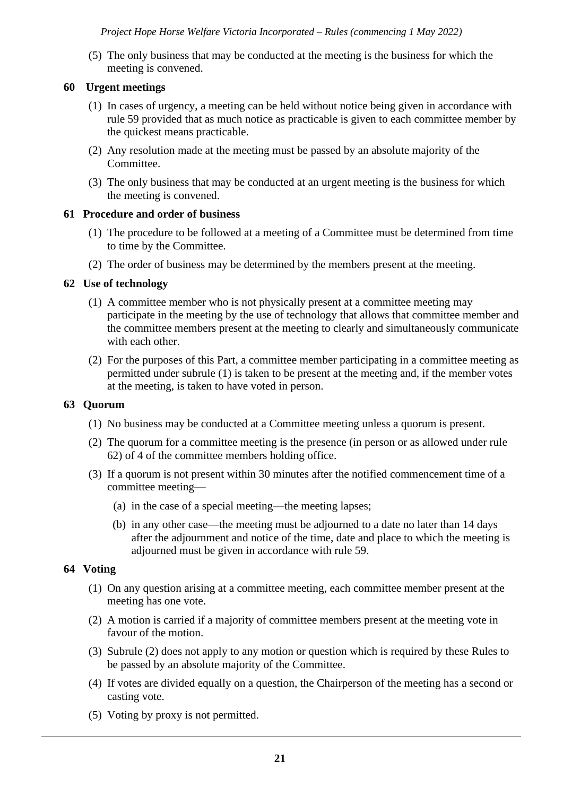(5) The only business that may be conducted at the meeting is the business for which the meeting is convened.

# **60 Urgent meetings**

- (1) In cases of urgency, a meeting can be held without notice being given in accordance with rule 59 provided that as much notice as practicable is given to each committee member by the quickest means practicable.
- (2) Any resolution made at the meeting must be passed by an absolute majority of the Committee.
- (3) The only business that may be conducted at an urgent meeting is the business for which the meeting is convened.

# **61 Procedure and order of business**

- (1) The procedure to be followed at a meeting of a Committee must be determined from time to time by the Committee.
- (2) The order of business may be determined by the members present at the meeting.

# **62 Use of technology**

- (1) A committee member who is not physically present at a committee meeting may participate in the meeting by the use of technology that allows that committee member and the committee members present at the meeting to clearly and simultaneously communicate with each other.
- (2) For the purposes of this Part, a committee member participating in a committee meeting as permitted under subrule (1) is taken to be present at the meeting and, if the member votes at the meeting, is taken to have voted in person.

# **63 Quorum**

- (1) No business may be conducted at a Committee meeting unless a quorum is present.
- (2) The quorum for a committee meeting is the presence (in person or as allowed under rule 62) of 4 of the committee members holding office.
- (3) If a quorum is not present within 30 minutes after the notified commencement time of a committee meeting—
	- (a) in the case of a special meeting—the meeting lapses;
	- (b) in any other case—the meeting must be adjourned to a date no later than 14 days after the adjournment and notice of the time, date and place to which the meeting is adjourned must be given in accordance with rule 59.

# **64 Voting**

- (1) On any question arising at a committee meeting, each committee member present at the meeting has one vote.
- (2) A motion is carried if a majority of committee members present at the meeting vote in favour of the motion.
- (3) Subrule (2) does not apply to any motion or question which is required by these Rules to be passed by an absolute majority of the Committee.
- (4) If votes are divided equally on a question, the Chairperson of the meeting has a second or casting vote.
- (5) Voting by proxy is not permitted.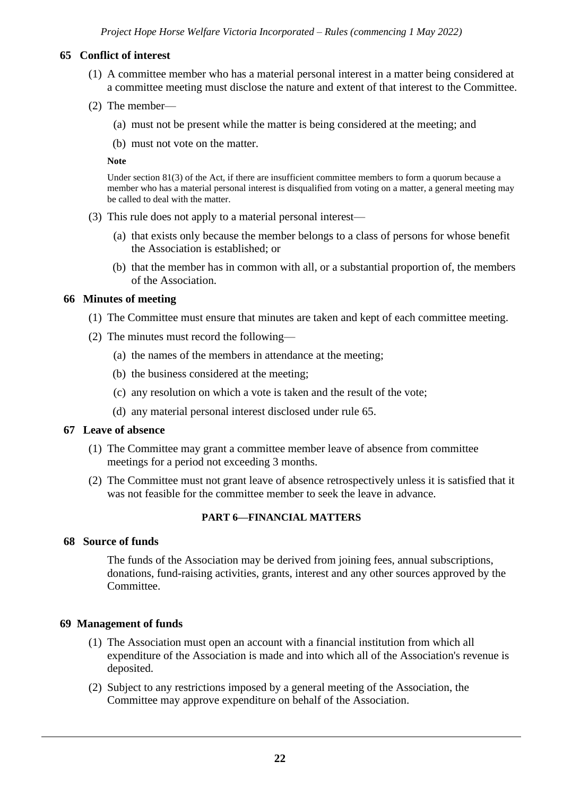# **65 Conflict of interest**

- (1) A committee member who has a material personal interest in a matter being considered at a committee meeting must disclose the nature and extent of that interest to the Committee.
- (2) The member—
	- (a) must not be present while the matter is being considered at the meeting; and
	- (b) must not vote on the matter.

#### **Note**

Under section 81(3) of the Act, if there are insufficient committee members to form a quorum because a member who has a material personal interest is disqualified from voting on a matter, a general meeting may be called to deal with the matter.

- (3) This rule does not apply to a material personal interest—
	- (a) that exists only because the member belongs to a class of persons for whose benefit the Association is established; or
	- (b) that the member has in common with all, or a substantial proportion of, the members of the Association.

#### **66 Minutes of meeting**

- (1) The Committee must ensure that minutes are taken and kept of each committee meeting.
- (2) The minutes must record the following—
	- (a) the names of the members in attendance at the meeting;
	- (b) the business considered at the meeting;
	- (c) any resolution on which a vote is taken and the result of the vote;
	- (d) any material personal interest disclosed under rule 65.

#### **67 Leave of absence**

- (1) The Committee may grant a committee member leave of absence from committee meetings for a period not exceeding 3 months.
- (2) The Committee must not grant leave of absence retrospectively unless it is satisfied that it was not feasible for the committee member to seek the leave in advance.

#### **PART 6—FINANCIAL MATTERS**

#### **68 Source of funds**

The funds of the Association may be derived from joining fees, annual subscriptions, donations, fund-raising activities, grants, interest and any other sources approved by the Committee.

#### **69 Management of funds**

- (1) The Association must open an account with a financial institution from which all expenditure of the Association is made and into which all of the Association's revenue is deposited.
- (2) Subject to any restrictions imposed by a general meeting of the Association, the Committee may approve expenditure on behalf of the Association.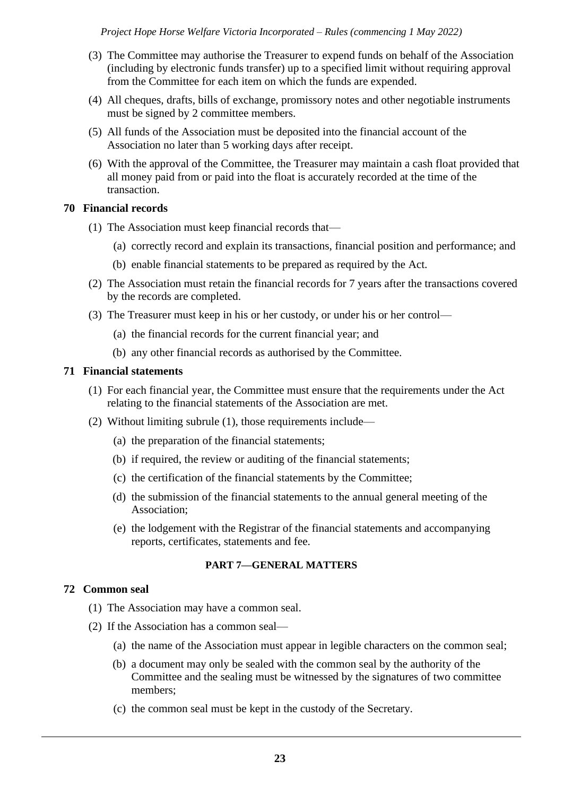- (3) The Committee may authorise the Treasurer to expend funds on behalf of the Association (including by electronic funds transfer) up to a specified limit without requiring approval from the Committee for each item on which the funds are expended.
- (4) All cheques, drafts, bills of exchange, promissory notes and other negotiable instruments must be signed by 2 committee members.
- (5) All funds of the Association must be deposited into the financial account of the Association no later than 5 working days after receipt.
- (6) With the approval of the Committee, the Treasurer may maintain a cash float provided that all money paid from or paid into the float is accurately recorded at the time of the transaction.

# **70 Financial records**

- (1) The Association must keep financial records that—
	- (a) correctly record and explain its transactions, financial position and performance; and
	- (b) enable financial statements to be prepared as required by the Act.
- (2) The Association must retain the financial records for 7 years after the transactions covered by the records are completed.
- (3) The Treasurer must keep in his or her custody, or under his or her control—
	- (a) the financial records for the current financial year; and
	- (b) any other financial records as authorised by the Committee.

## **71 Financial statements**

- (1) For each financial year, the Committee must ensure that the requirements under the Act relating to the financial statements of the Association are met.
- (2) Without limiting subrule (1), those requirements include—
	- (a) the preparation of the financial statements;
	- (b) if required, the review or auditing of the financial statements;
	- (c) the certification of the financial statements by the Committee;
	- (d) the submission of the financial statements to the annual general meeting of the Association;
	- (e) the lodgement with the Registrar of the financial statements and accompanying reports, certificates, statements and fee.

#### **PART 7—GENERAL MATTERS**

#### **72 Common seal**

- (1) The Association may have a common seal.
- (2) If the Association has a common seal—
	- (a) the name of the Association must appear in legible characters on the common seal;
	- (b) a document may only be sealed with the common seal by the authority of the Committee and the sealing must be witnessed by the signatures of two committee members;
	- (c) the common seal must be kept in the custody of the Secretary.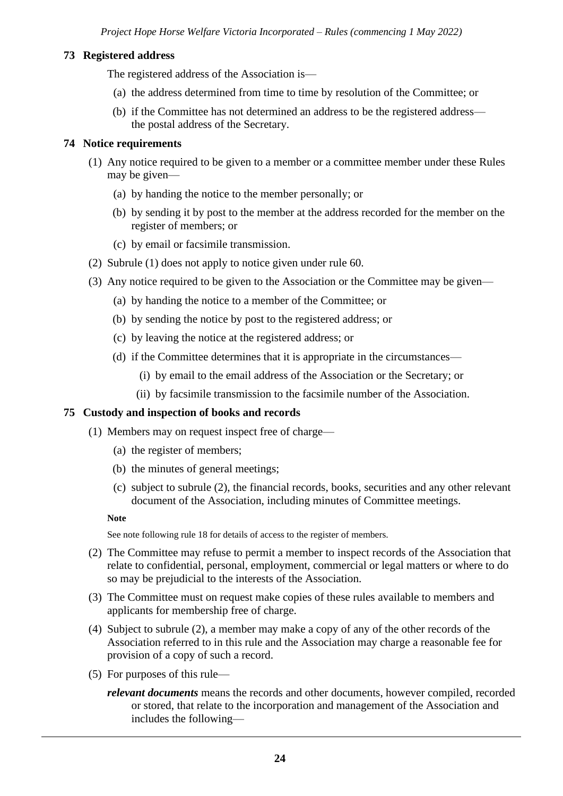# **73 Registered address**

The registered address of the Association is—

- (a) the address determined from time to time by resolution of the Committee; or
- (b) if the Committee has not determined an address to be the registered address the postal address of the Secretary.

# **74 Notice requirements**

- (1) Any notice required to be given to a member or a committee member under these Rules may be given—
	- (a) by handing the notice to the member personally; or
	- (b) by sending it by post to the member at the address recorded for the member on the register of members; or
	- (c) by email or facsimile transmission.
- (2) Subrule (1) does not apply to notice given under rule 60.
- (3) Any notice required to be given to the Association or the Committee may be given—
	- (a) by handing the notice to a member of the Committee; or
	- (b) by sending the notice by post to the registered address; or
	- (c) by leaving the notice at the registered address; or
	- (d) if the Committee determines that it is appropriate in the circumstances—
		- (i) by email to the email address of the Association or the Secretary; or
		- (ii) by facsimile transmission to the facsimile number of the Association.

#### **75 Custody and inspection of books and records**

(1) Members may on request inspect free of charge—

- (a) the register of members;
- (b) the minutes of general meetings;
- (c) subject to subrule (2), the financial records, books, securities and any other relevant document of the Association, including minutes of Committee meetings.

**Note**

See note following rule 18 for details of access to the register of members.

- (2) The Committee may refuse to permit a member to inspect records of the Association that relate to confidential, personal, employment, commercial or legal matters or where to do so may be prejudicial to the interests of the Association.
- (3) The Committee must on request make copies of these rules available to members and applicants for membership free of charge.
- (4) Subject to subrule (2), a member may make a copy of any of the other records of the Association referred to in this rule and the Association may charge a reasonable fee for provision of a copy of such a record.
- (5) For purposes of this rule
	- *relevant documents* means the records and other documents, however compiled, recorded or stored, that relate to the incorporation and management of the Association and includes the following—